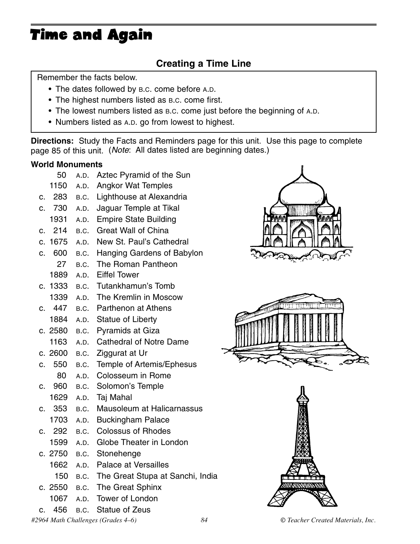# Time and Again

### **Creating a Time Line**

Remember the facts below.

- The dates followed by B.C. come before A.D.
- The highest numbers listed as B.C. come first.
- The lowest numbers listed as B.C. come just before the beginning of A.D.
- Numbers listed as A.D. go from lowest to highest.

**Directions:** Study the Facts and Reminders page for this unit. Use this page to complete page 85 of this unit. (*Note*: All dates listed are beginning dates.)

#### **World Monuments**

|                | 50      | A.D. | Aztec Pyramid of the Sun              |  |
|----------------|---------|------|---------------------------------------|--|
|                | 1150    | A.D. | <b>Angkor Wat Temples</b>             |  |
| c.             | 283     | B.C. | Lighthouse at Alexandria              |  |
| C.             | 730     | A.D. | Jaguar Temple at Tikal                |  |
|                | 1931    | A.D. | <b>Empire State Building</b>          |  |
| C.             | 214     | B.C. | <b>Great Wall of China</b>            |  |
| $\mathbf{C}$ . | 1675    | A.D. | New St. Paul's Cathedral              |  |
| c.             | 600     |      | B.C. Hanging Gardens of Babylon       |  |
|                | 27      | B.C. | The Roman Pantheon                    |  |
|                | 1889    | A.D. | <b>Eiffel Tower</b>                   |  |
| C.             | 1333    | B.C. | Tutankhamun's Tomb                    |  |
|                | 1339    | A.D. | The Kremlin in Moscow                 |  |
|                | 447     |      | B.C. Parthenon at Athens              |  |
|                | 1884    | A.D. | <b>Statue of Liberty</b>              |  |
|                | c. 2580 | B.C. | <b>Pyramids at Giza</b>               |  |
|                | 1163    | A.D. | <b>Cathedral of Notre Dame</b>        |  |
|                | c. 2600 | B.C. | Ziggurat at Ur                        |  |
| C.             | 550     | B.C. | Temple of Artemis/Ephesus             |  |
|                | 80      | A.D. | Colosseum in Rome                     |  |
| C.             | 960     | B.C. | Solomon's Temple                      |  |
|                | 1629    | A.D. | Taj Mahal                             |  |
| $\mathbf{C}$ . | 353     | B.C. | Mausoleum at Halicarnassus            |  |
|                | 1703    | A.D. | <b>Buckingham Palace</b>              |  |
| C.             | 292     | B.C. | <b>Colossus of Rhodes</b>             |  |
|                | 1599    | A.D. | Globe Theater in London               |  |
|                | c. 2750 | B.C. | Stonehenge                            |  |
|                | 1662    | A.D. | <b>Palace at Versailles</b>           |  |
|                | 150     |      | B.C. The Great Stupa at Sanchi, India |  |
|                | c. 2550 | B.C. | The Great Sphinx                      |  |
|                | 1067    | A.D. | Tower of London                       |  |







c. 456 B.C. Statue of Zeus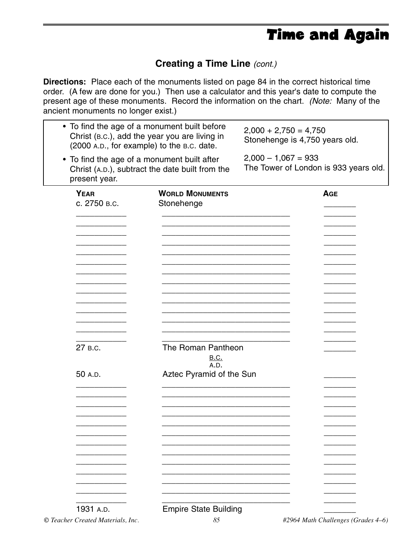## Time and Again

### **Creating a Time Line** *(cont.)*

**Directions:** Place each of the monuments listed on page 84 in the correct historical time order. (A few are done for you.) Then use a calculator and this year's date to compute the present age of these monuments. Record the information on the chart. *(Note:* Many of the ancient monuments no longer exist.)

| • To find the age of a monument built before<br>$2,000 + 2,750 = 4,750$<br>Christ (B.C.), add the year you are living in<br>Stonehenge is 4,750 years old.<br>(2000 A.D., for example) to the B.C. date. |                                                                |  |  |  |
|----------------------------------------------------------------------------------------------------------------------------------------------------------------------------------------------------------|----------------------------------------------------------------|--|--|--|
| • To find the age of a monument built after<br>Christ (A.D.), subtract the date built from the                                                                                                           | $2,000 - 1,067 = 933$<br>The Tower of London is 933 years old. |  |  |  |
| <b>WORLD MONUMENTS</b><br>Stonehenge                                                                                                                                                                     | <b>AGE</b>                                                     |  |  |  |
|                                                                                                                                                                                                          |                                                                |  |  |  |
|                                                                                                                                                                                                          |                                                                |  |  |  |
|                                                                                                                                                                                                          |                                                                |  |  |  |
| The Roman Pantheon<br><b>B.C.</b>                                                                                                                                                                        |                                                                |  |  |  |
| Aztec Pyramid of the Sun                                                                                                                                                                                 |                                                                |  |  |  |
|                                                                                                                                                                                                          |                                                                |  |  |  |
|                                                                                                                                                                                                          |                                                                |  |  |  |
|                                                                                                                                                                                                          |                                                                |  |  |  |
|                                                                                                                                                                                                          | A.D.                                                           |  |  |  |

<sup>1931</sup> A.D. Empire State Building